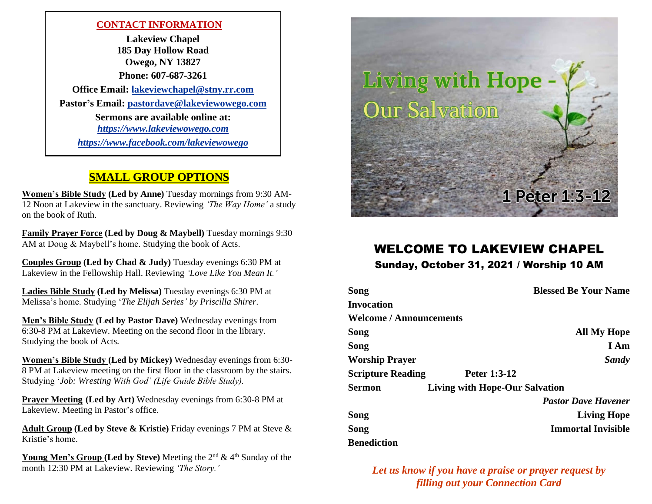#### **CONTACT INFORMATION**

**Lakeview Chapel 185 Day Hollow Road Owego, NY 13827 Phone: 607-687-3261 Office Email: [lakeviewchapel@stny.rr.com](Previous%20Bulletins/lakeviewchapel@stny.rr.com) Pastor's Email: [pastordave@lakeviewowego.com](mailto:pastordave@lakeviewowego.com) Sermons are available online at:** *https:/[/www.lakeviewowego.com](http://www.lakeviewowego.com/) <https://www.facebook.com/lakeviewowego>*

#### **SMALL GROUP OPTIONS**

**Women's Bible Study (Led by Anne)** Tuesday mornings from 9:30 AM-12 Noon at Lakeview in the sanctuary. Reviewing *'The Way Home'* a study on the book of Ruth.

**Family Prayer Force (Led by Doug & Maybell)** Tuesday mornings 9:30 AM at Doug & Maybell's home. Studying the book of Acts.

**Couples Group (Led by Chad & Judy)** Tuesday evenings 6:30 PM at Lakeview in the Fellowship Hall. Reviewing *'Love Like You Mean It.'*

**Ladies Bible Study (Led by Melissa)** Tuesday evenings 6:30 PM at Melissa's home. Studying '*The Elijah Series' by Priscilla Shirer*.

**Men's Bible Study (Led by Pastor Dave)** Wednesday evenings from 6:30-8 PM at Lakeview. Meeting on the second floor in the library. Studying the book of Acts.

**Women's Bible Study (Led by Mickey)** Wednesday evenings from 6:30- 8 PM at Lakeview meeting on the first floor in the classroom by the stairs. Studying '*Job: Wresting With God' (Life Guide Bible Study).*

**Prayer Meeting (Led by Art)** Wednesday evenings from 6:30-8 PM at Lakeview. Meeting in Pastor's office.

**Adult Group (Led by Steve & Kristie)** Friday evenings 7 PM at Steve & Kristie's home.

**Young Men's Group (Led by Steve)** Meeting the 2<sup>nd</sup> & 4<sup>th</sup> Sunday of the month 12:30 PM at Lakeview. Reviewing *'The Story.'*



# WELCOME TO LAKEVIEW CHAPEL

Sunday, October 31, 2021 / Worship 10 AM

| Song                           |                                       | <b>Blessed Be Your Name</b> |
|--------------------------------|---------------------------------------|-----------------------------|
| Invocation                     |                                       |                             |
| <b>Welcome / Announcements</b> |                                       |                             |
| Song                           |                                       | <b>All My Hope</b>          |
| Song                           |                                       | I Am                        |
| <b>Worship Prayer</b>          |                                       | Sandy                       |
| <b>Scripture Reading</b>       | Peter 1:3-12                          |                             |
| Sermon                         | <b>Living with Hope-Our Salvation</b> |                             |
|                                |                                       | <b>Pastor Dave Havener</b>  |
| Song                           |                                       | <b>Living Hope</b>          |
| Song                           |                                       | <b>Immortal Invisible</b>   |
| <b>Benediction</b>             |                                       |                             |

*Let us know if you have a praise or prayer request by filling out your Connection Card*